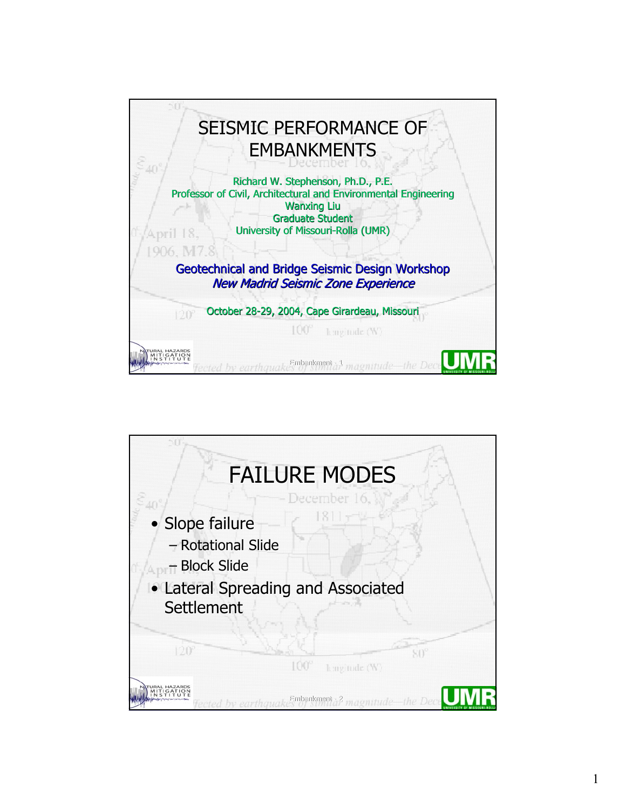

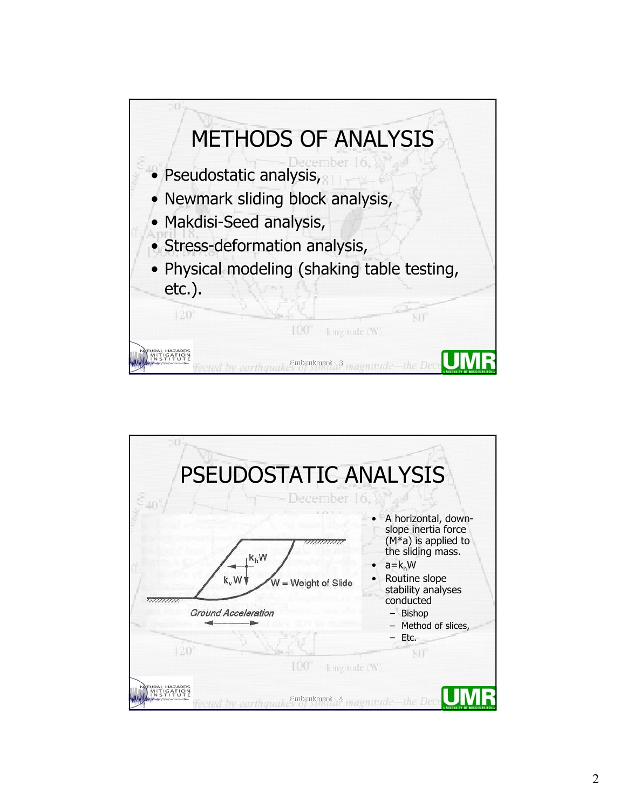

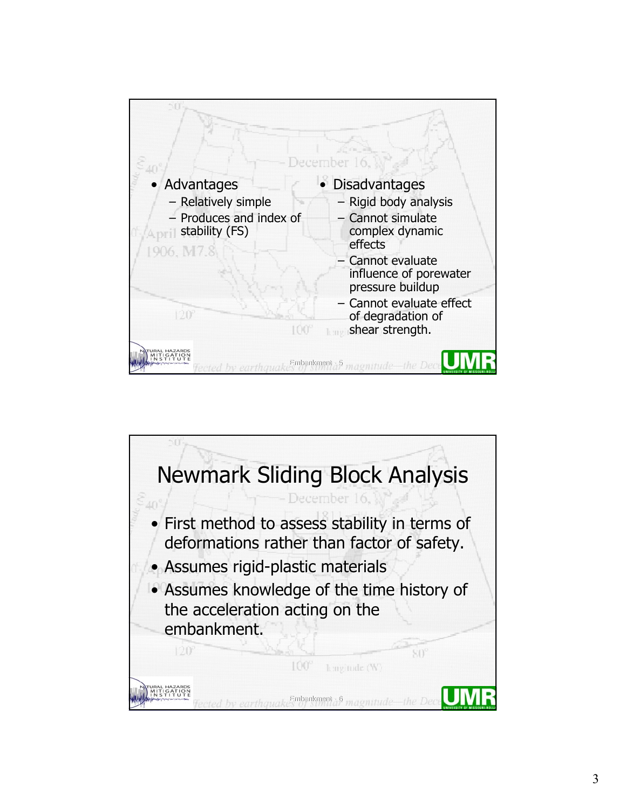

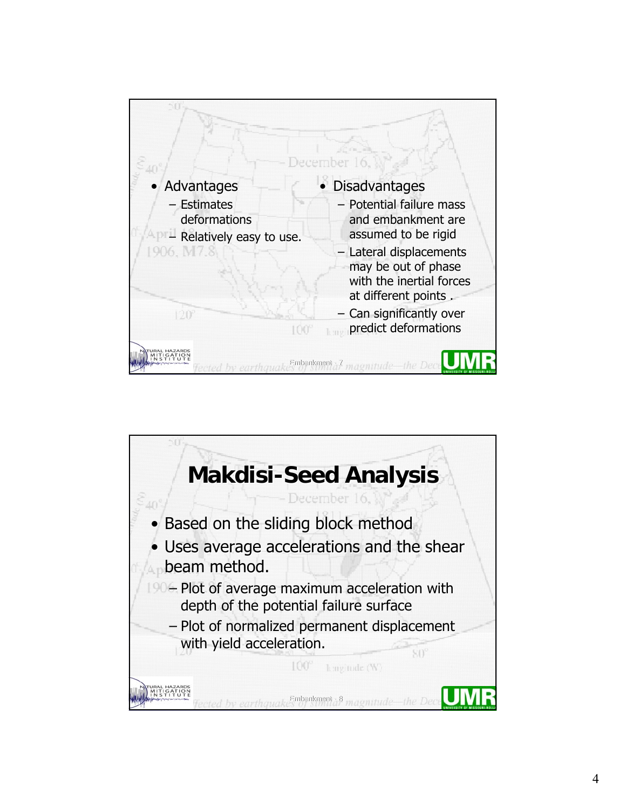

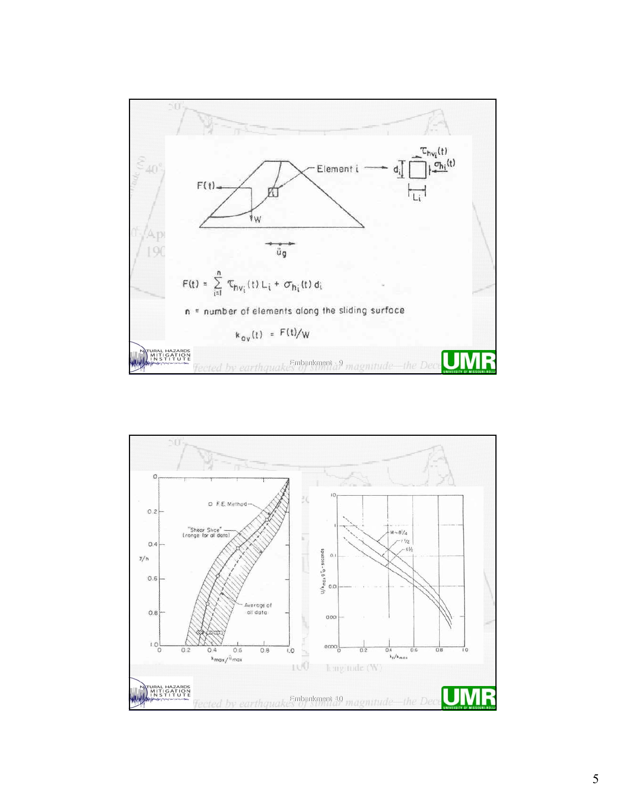

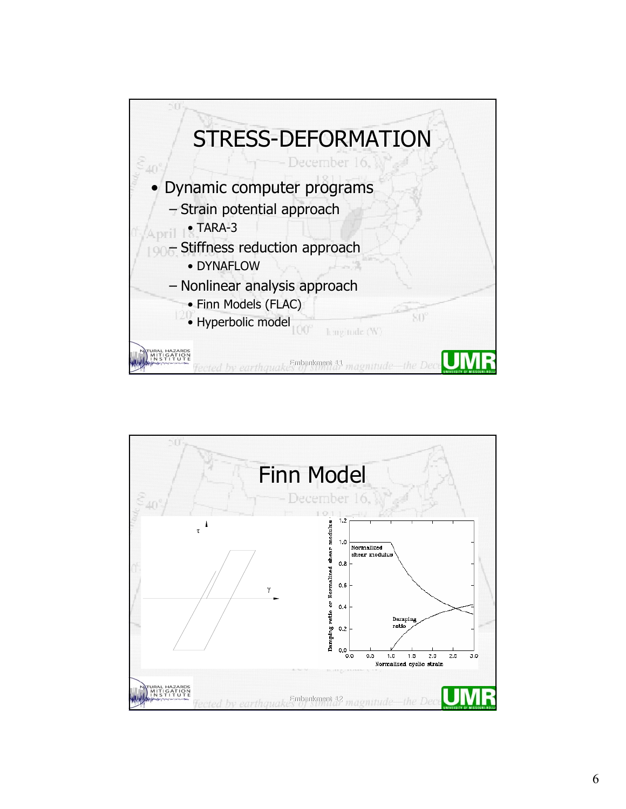

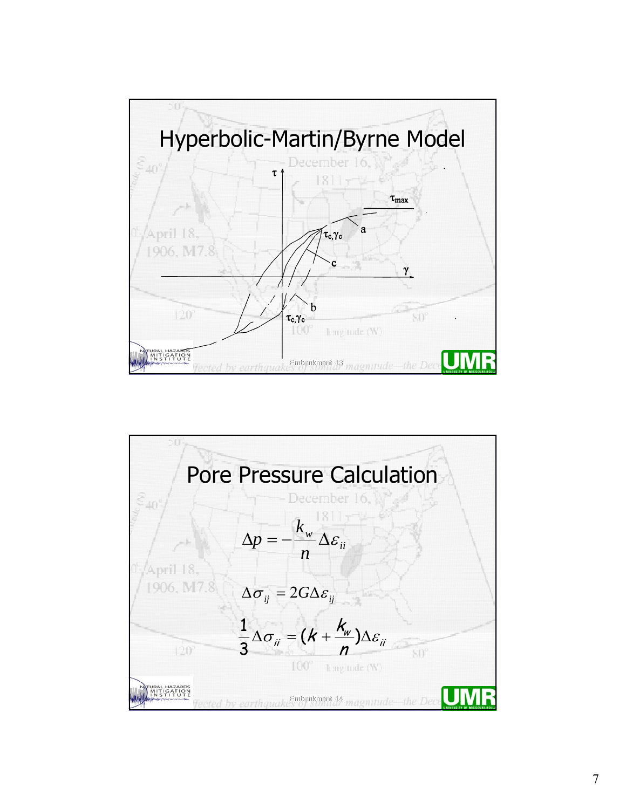

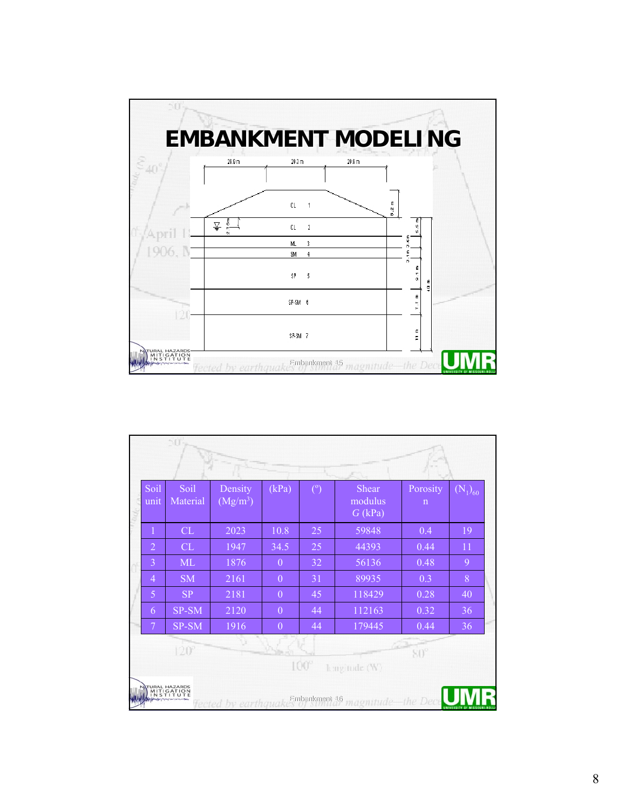

| $\mathbf{1}$<br>CL<br>2023<br>10.8<br>25<br>59848<br>$\overline{2}$<br>CL<br>1947<br>34.5<br>25<br>44393 |            |
|----------------------------------------------------------------------------------------------------------|------------|
|                                                                                                          | 0.4<br>19  |
|                                                                                                          | 0.44<br>11 |
| $\overline{3}$<br><b>ML</b><br>1876<br>$\theta$<br>32<br>56136                                           | 0.48<br>9  |
| $\theta$<br>$\overline{4}$<br><b>SM</b><br>2161<br>31<br>89935                                           | 8<br>0.3   |
| 5<br><b>SP</b><br>2181<br>118429<br>$\theta$<br>45                                                       | 0.28<br>40 |
| SP-SM<br>2120<br>$\theta$<br>112163<br>44<br>6                                                           | 0.32<br>36 |
| 1916<br>44<br>179445<br>7<br>SP-SM<br>$\theta$                                                           | 0.44<br>36 |
| $120^\circ$<br>$S()^\circ$                                                                               |            |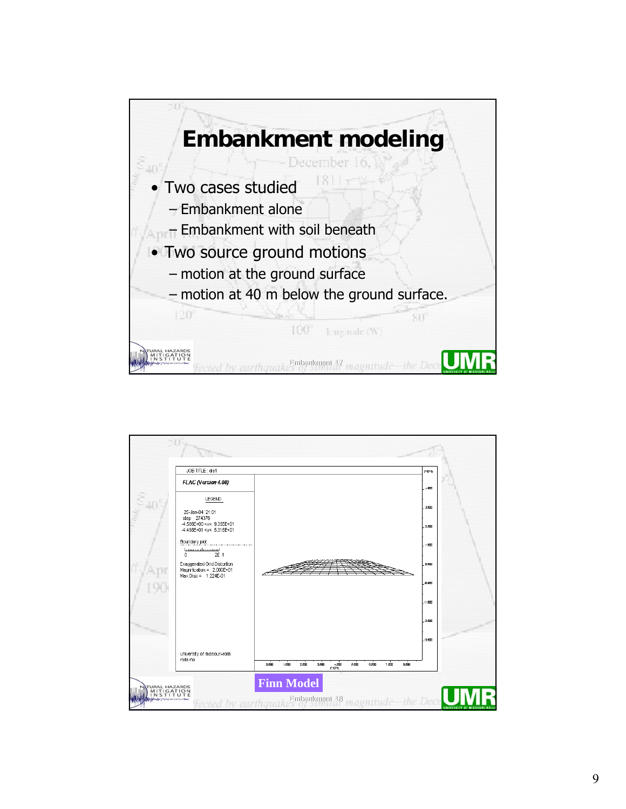

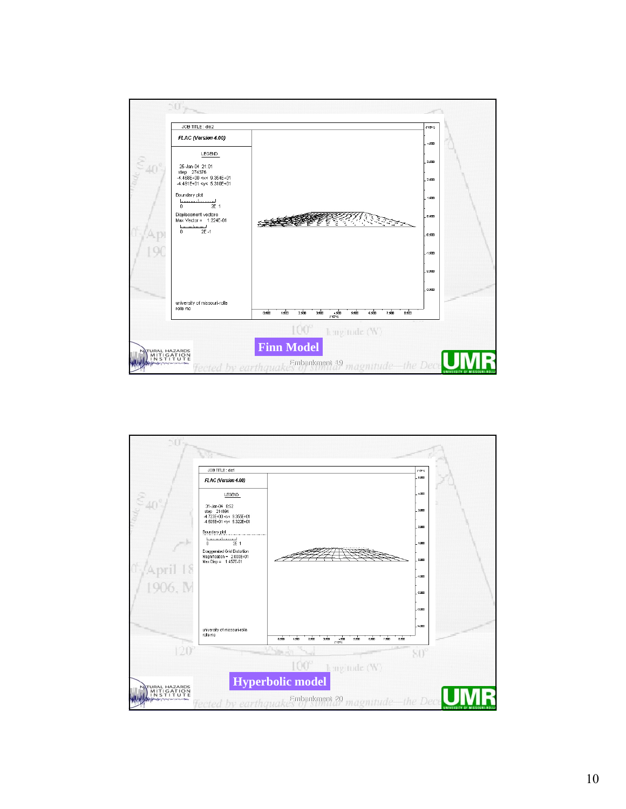

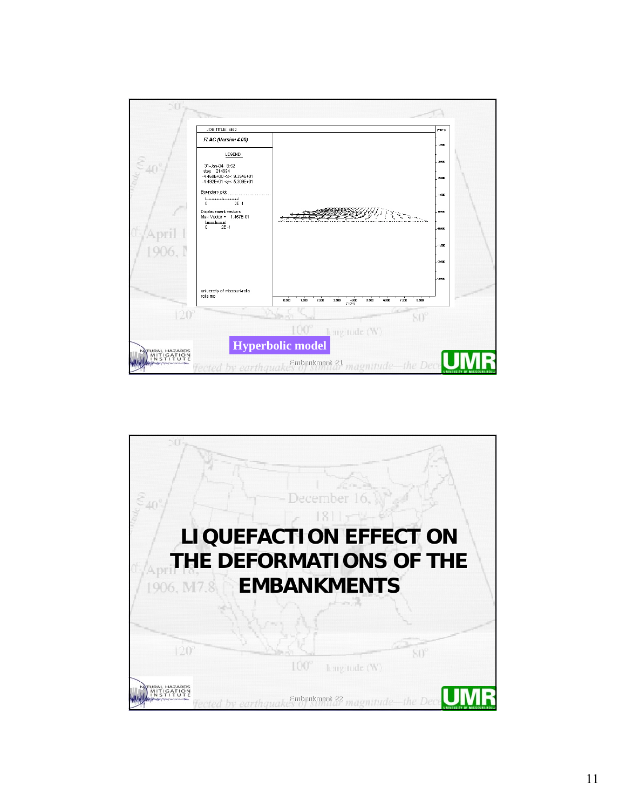

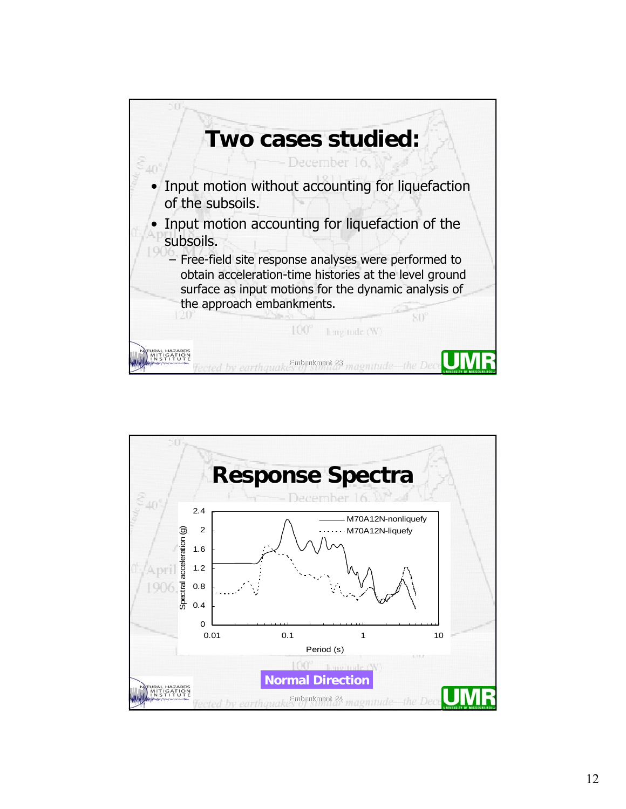

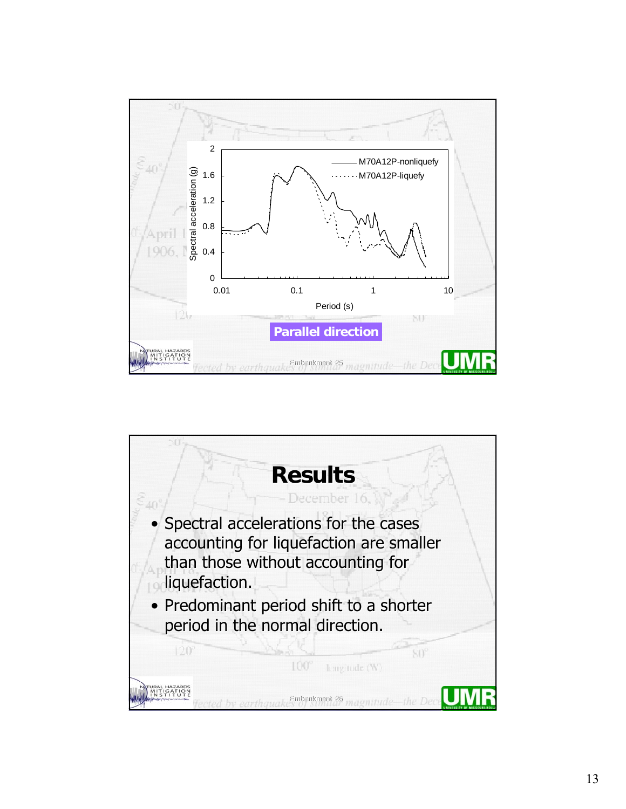

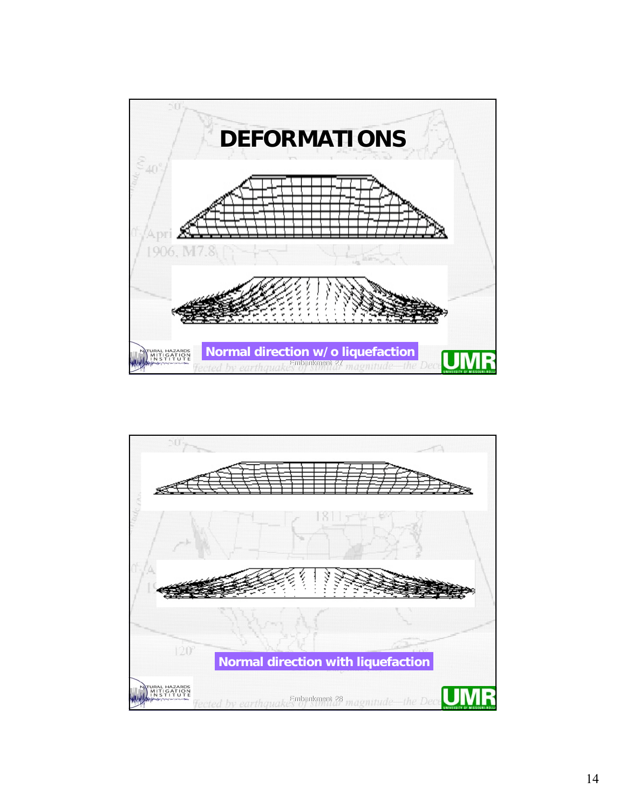

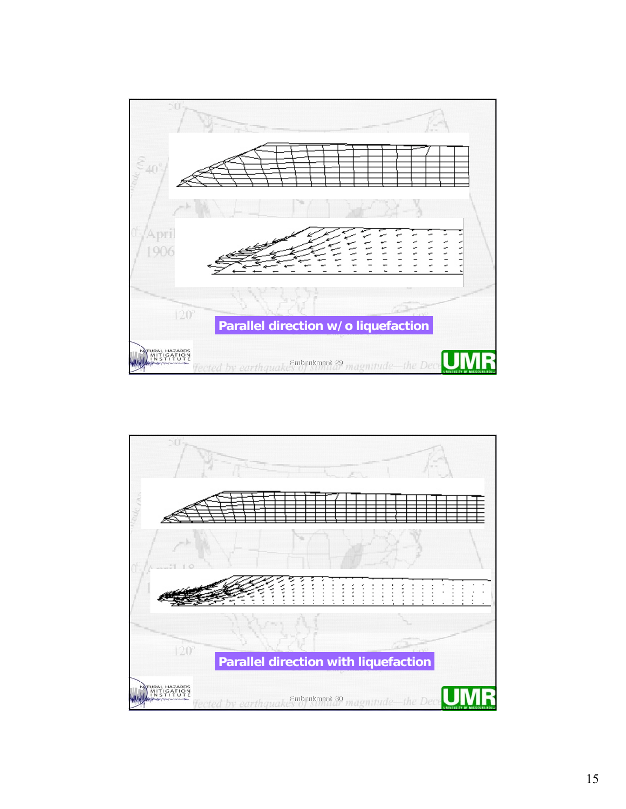

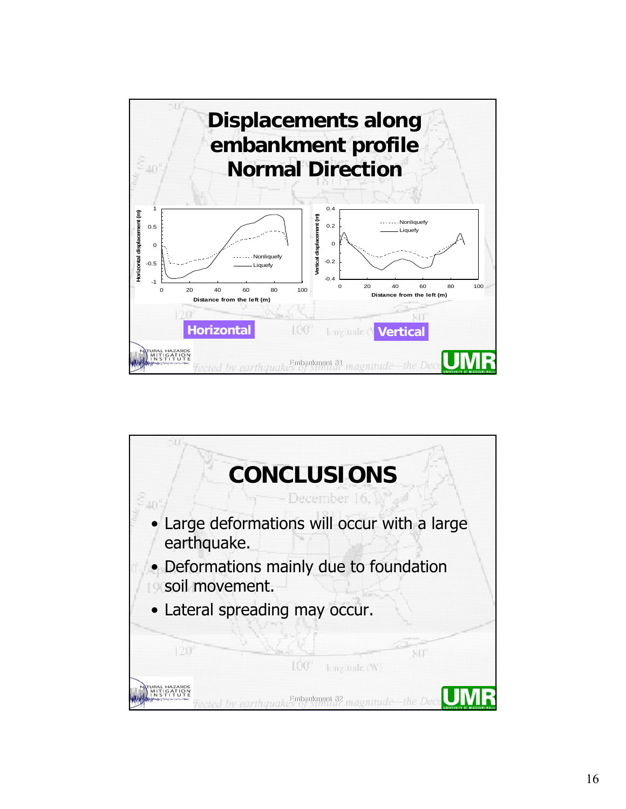

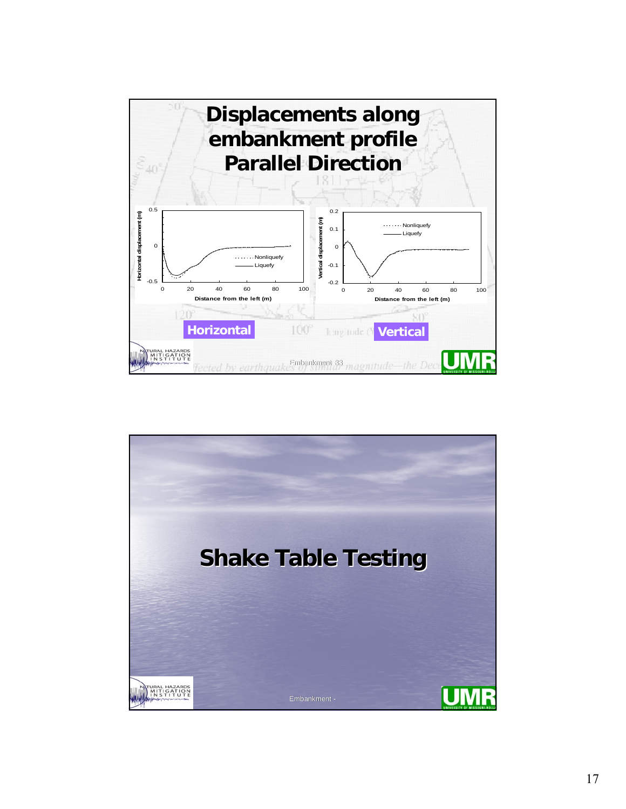

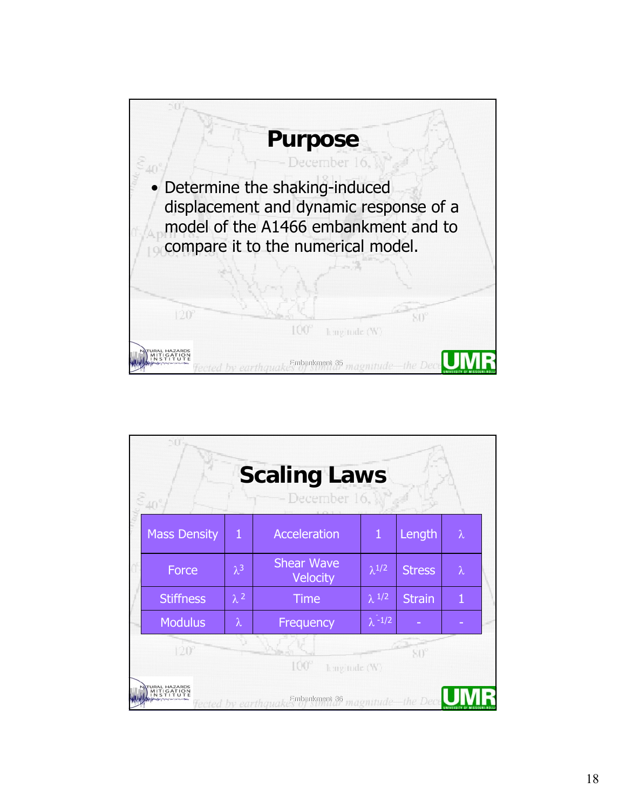

|                                     |                     |             | <b>Scaling Laws</b><br>December 16,   |                           |                   |           |  |  |
|-------------------------------------|---------------------|-------------|---------------------------------------|---------------------------|-------------------|-----------|--|--|
|                                     | <b>Mass Density</b> | 1           | <b>Acceleration</b>                   | $\mathbf{1}$              | Length            | $\lambda$ |  |  |
|                                     | Force               | $\lambda^3$ | <b>Shear Wave</b><br>Velocity         | $\lambda^{1/2}$           | <b>Stress</b>     | $\lambda$ |  |  |
|                                     | <b>Stiffness</b>    | $\lambda^2$ | <b>Time</b>                           | $\lambda$ 1/2             | <b>Strain</b>     | Λ         |  |  |
|                                     | <b>Modulus</b>      | $\lambda$   | Frequency                             | $\lambda$ <sup>-1/2</sup> |                   |           |  |  |
| $120^\circ$<br>100°<br>hmgitude (W) |                     |             |                                       |                           |                   |           |  |  |
|                                     |                     |             | 36-themxingdin3<br>ected by earthquak |                           | magnitude-the Dec |           |  |  |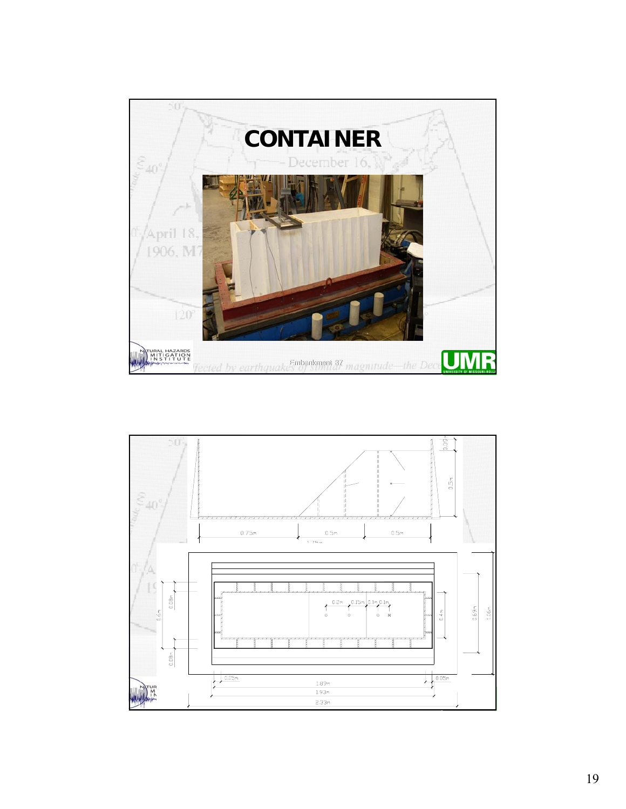